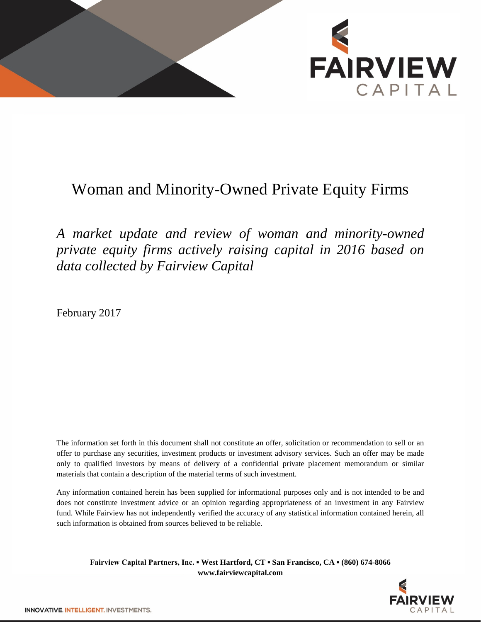

## Woman and Minority-Owned Private Equity Firms

*A market update and review of woman and minority-owned private equity firms actively raising capital in 2016 based on data collected by Fairview Capital*

February 2017

The information set forth in this document shall not constitute an offer, solicitation or recommendation to sell or an offer to purchase any securities, investment products or investment advisory services. Such an offer may be made only to qualified investors by means of delivery of a confidential private placement memorandum or similar materials that contain a description of the material terms of such investment.

Any information contained herein has been supplied for informational purposes only and is not intended to be and does not constitute investment advice or an opinion regarding appropriateness of an investment in any Fairview fund. While Fairview has not independently verified the accuracy of any statistical information contained herein, all such information is obtained from sources believed to be reliable.

**Fairview Capital Partners, Inc. ▪ West Hartford, CT ▪ San Francisco, CA ▪ (860) 674-8066 www.fairviewcapital.com**

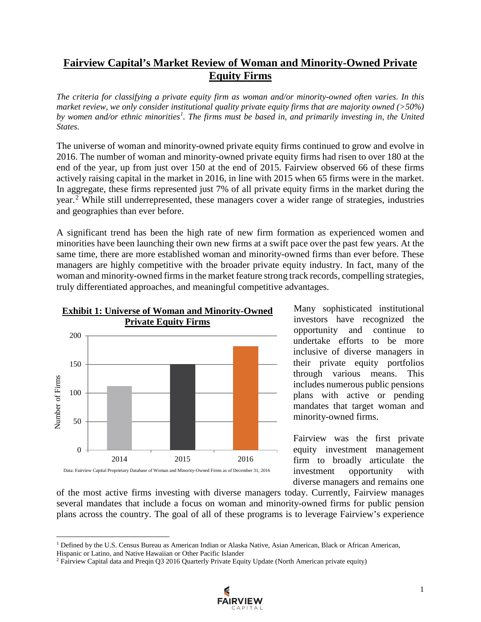## **Fairview Capital's Market Review of Woman and Minority-Owned Private Equity Firms**

*The criteria for classifying a private equity firm as woman and/or minority-owned often varies. In this market review, we only consider institutional quality private equity firms that are majority owned (>50%) by women and/or ethnic minorities[1](#page-1-0) . The firms must be based in, and primarily investing in, the United States.*

The universe of woman and minority-owned private equity firms continued to grow and evolve in 2016. The number of woman and minority-owned private equity firms had risen to over 180 at the end of the year, up from just over 150 at the end of 2015. Fairview observed 66 of these firms actively raising capital in the market in 2016, in line with 2015 when 65 firms were in the market. In aggregate, these firms represented just 7% of all private equity firms in the market during the year. [2](#page-1-1) While still underrepresented, these managers cover a wider range of strategies, industries and geographies than ever before.

A significant trend has been the high rate of new firm formation as experienced women and minorities have been launching their own new firms at a swift pace over the past few years. At the same time, there are more established woman and minority-owned firms than ever before. These managers are highly competitive with the broader private equity industry. In fact, many of the woman and minority-owned firms in the market feature strong track records, compelling strategies, truly differentiated approaches, and meaningful competitive advantages.



 $\overline{\phantom{a}}$ 

Many sophisticated institutional investors have recognized the opportunity and continue to undertake efforts to be more inclusive of diverse managers in their private equity portfolios through various means. This includes numerous public pensions plans with active or pending mandates that target woman and minority-owned firms.

Fairview was the first private equity investment management firm to broadly articulate the investment opportunity with diverse managers and remains one

of the most active firms investing with diverse managers today. Currently, Fairview manages several mandates that include a focus on woman and minority-owned firms for public pension plans across the country. The goal of all of these programs is to leverage Fairview's experience

<span id="page-1-1"></span><sup>2</sup> Fairview Capital data and Preqin Q3 2016 Quarterly Private Equity Update (North American private equity)



<span id="page-1-0"></span><sup>&</sup>lt;sup>1</sup> Defined by the U.S. Census Bureau as American Indian or Alaska Native, Asian American, Black or African American, Hispanic or Latino, and Native Hawaiian or Other Pacific Islander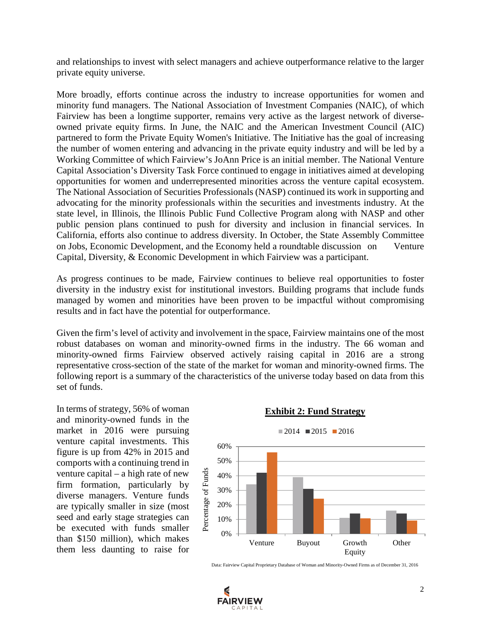and relationships to invest with select managers and achieve outperformance relative to the larger private equity universe.

More broadly, efforts continue across the industry to increase opportunities for women and minority fund managers. The National Association of Investment Companies (NAIC), of which Fairview has been a longtime supporter, remains very active as the largest network of diverseowned private equity firms. In June, the NAIC and the American Investment Council (AIC) partnered to form the Private Equity Women's Initiative. The Initiative has the goal of increasing the number of women entering and advancing in the private equity industry and will be led by a Working Committee of which Fairview's JoAnn Price is an initial member. The National Venture Capital Association's Diversity Task Force continued to engage in initiatives aimed at developing opportunities for women and underrepresented minorities across the venture capital ecosystem. The National Association of Securities Professionals (NASP) continued its work in supporting and advocating for the minority professionals within the securities and investments industry. At the state level, in Illinois, the Illinois Public Fund Collective Program along with NASP and other public pension plans continued to push for diversity and inclusion in financial services. In California, efforts also continue to address diversity. In October, the State Assembly Committee on Jobs, Economic Development, and the Economy held a roundtable discussion on Venture Capital, Diversity, & Economic Development in which Fairview was a participant.

As progress continues to be made, Fairview continues to believe real opportunities to foster diversity in the industry exist for institutional investors. Building programs that include funds managed by women and minorities have been proven to be impactful without compromising results and in fact have the potential for outperformance.

Given the firm's level of activity and involvement in the space, Fairview maintains one of the most robust databases on woman and minority-owned firms in the industry. The 66 woman and minority-owned firms Fairview observed actively raising capital in 2016 are a strong representative cross-section of the state of the market for woman and minority-owned firms. The following report is a summary of the characteristics of the universe today based on data from this set of funds.

In terms of strategy, 56% of woman and minority-owned funds in the market in 2016 were pursuing venture capital investments. This figure is up from 42% in 2015 and comports with a continuing trend in venture capital – a high rate of new firm formation, particularly by diverse managers. Venture funds are typically smaller in size (most seed and early stage strategies can be executed with funds smaller than \$150 million), which makes them less daunting to raise for

## **Exhibit 2: Fund Strategy**



Data: Fairview Capital Proprietary Database of Woman and Minority-Owned Firms as of December 31, 2016

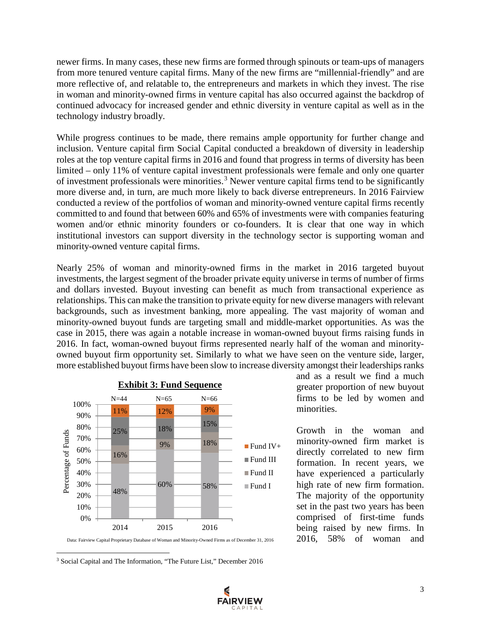newer firms. In many cases, these new firms are formed through spinouts or team-ups of managers from more tenured venture capital firms. Many of the new firms are "millennial-friendly" and are more reflective of, and relatable to, the entrepreneurs and markets in which they invest. The rise in woman and minority-owned firms in venture capital has also occurred against the backdrop of continued advocacy for increased gender and ethnic diversity in venture capital as well as in the technology industry broadly.

While progress continues to be made, there remains ample opportunity for further change and inclusion. Venture capital firm Social Capital conducted a breakdown of diversity in leadership roles at the top venture capital firms in 2016 and found that progress in terms of diversity has been limited – only 11% of venture capital investment professionals were female and only one quarter of investment professionals were minorities.<sup>[3](#page-3-0)</sup> Newer venture capital firms tend to be significantly more diverse and, in turn, are much more likely to back diverse entrepreneurs. In 2016 Fairview conducted a review of the portfolios of woman and minority-owned venture capital firms recently committed to and found that between 60% and 65% of investments were with companies featuring women and/or ethnic minority founders or co-founders. It is clear that one way in which institutional investors can support diversity in the technology sector is supporting woman and minority-owned venture capital firms.

Nearly 25% of woman and minority-owned firms in the market in 2016 targeted buyout investments, the largest segment of the broader private equity universe in terms of number of firms and dollars invested. Buyout investing can benefit as much from transactional experience as relationships. This can make the transition to private equity for new diverse managers with relevant backgrounds, such as investment banking, more appealing. The vast majority of woman and minority-owned buyout funds are targeting small and middle-market opportunities. As was the case in 2015, there was again a notable increase in woman-owned buyout firms raising funds in 2016. In fact, woman-owned buyout firms represented nearly half of the woman and minorityowned buyout firm opportunity set. Similarly to what we have seen on the venture side, larger, more established buyout firms have been slow to increase diversity amongst their leaderships ranks



and as a result we find a much greater proportion of new buyout firms to be led by women and minorities.

Growth in the woman and minority-owned firm market is directly correlated to new firm formation. In recent years, we have experienced a particularly high rate of new firm formation. The majority of the opportunity set in the past two years has been comprised of first-time funds being raised by new firms. In 2016, 58% of woman and

<span id="page-3-0"></span><sup>3</sup> Social Capital and The Information, "The Future List," December 2016

l



Data: Fairview Capital Proprietary Database of Woman and Minority-Owned Firms as of December 31, 2016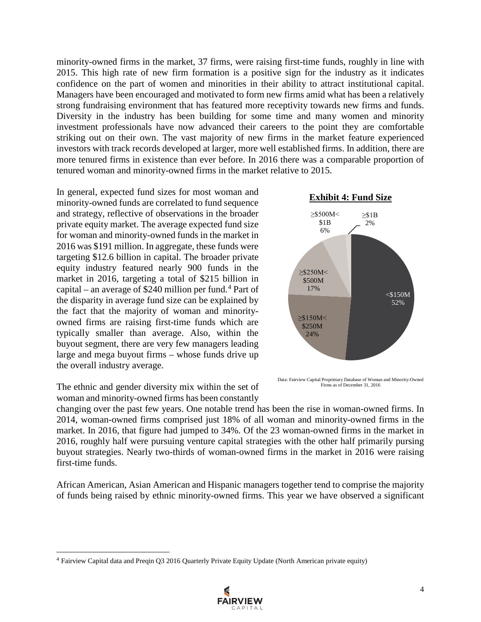minority-owned firms in the market, 37 firms, were raising first-time funds, roughly in line with 2015. This high rate of new firm formation is a positive sign for the industry as it indicates confidence on the part of women and minorities in their ability to attract institutional capital. Managers have been encouraged and motivated to form new firms amid what has been a relatively strong fundraising environment that has featured more receptivity towards new firms and funds. Diversity in the industry has been building for some time and many women and minority investment professionals have now advanced their careers to the point they are comfortable striking out on their own. The vast majority of new firms in the market feature experienced investors with track records developed at larger, more well established firms. In addition, there are more tenured firms in existence than ever before. In 2016 there was a comparable proportion of tenured woman and minority-owned firms in the market relative to 2015.

In general, expected fund sizes for most woman and minority-owned funds are correlated to fund sequence and strategy, reflective of observations in the broader private equity market. The average expected fund size for woman and minority-owned funds in the market in 2016 was \$191 million. In aggregate, these funds were targeting \$12.6 billion in capital. The broader private equity industry featured nearly 900 funds in the market in 2016, targeting a total of \$215 billion in capital – an average of \$2[4](#page-4-0)0 million per fund.<sup>4</sup> Part of the disparity in average fund size can be explained by the fact that the majority of woman and minorityowned firms are raising first-time funds which are typically smaller than average. Also, within the buyout segment, there are very few managers leading large and mega buyout firms – whose funds drive up the overall industry average.



l

changing over the past few years. One notable trend has been the rise in woman-owned firms. In 2014, woman-owned firms comprised just 18% of all woman and minority-owned firms in the market. In 2016, that figure had jumped to 34%. Of the 23 woman-owned firms in the market in 2016, roughly half were pursuing venture capital strategies with the other half primarily pursing buyout strategies. Nearly two-thirds of woman-owned firms in the market in 2016 were raising first-time funds.

African American, Asian American and Hispanic managers together tend to comprise the majority of funds being raised by ethnic minority-owned firms. This year we have observed a significant



Data: Fairview Capital Proprietary Database of Woman and Minority-Owned Firms as of December 31, 2016



<span id="page-4-0"></span><sup>4</sup> Fairview Capital data and Preqin Q3 2016 Quarterly Private Equity Update (North American private equity)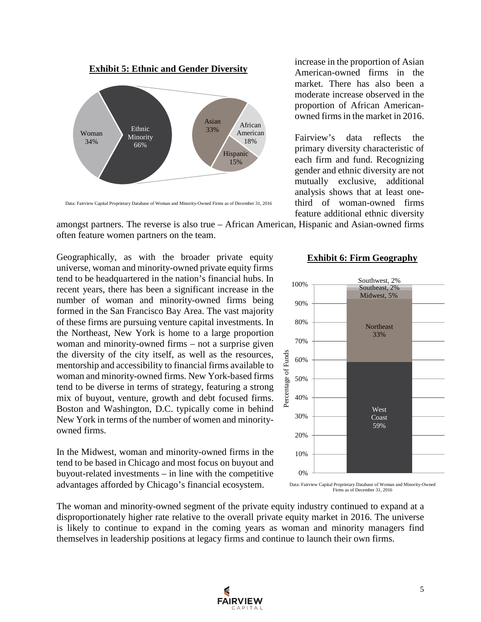



increase in the proportion of Asian American-owned firms in the market. There has also been a moderate increase observed in the proportion of African Americanowned firms in the market in 2016.

Fairview's data reflects the primary diversity characteristic of each firm and fund. Recognizing gender and ethnic diversity are not mutually exclusive, additional analysis shows that at least onethird of woman-owned firms feature additional ethnic diversity

Data: Fairview Capital Proprietary Database of Woman and Minority-Owned Firms as of December 31, 2016

amongst partners. The reverse is also true – African American, Hispanic and Asian-owned firms often feature women partners on the team.

Geographically, as with the broader private equity universe, woman and minority-owned private equity firms tend to be headquartered in the nation's financial hubs. In recent years, there has been a significant increase in the number of woman and minority-owned firms being formed in the San Francisco Bay Area. The vast majority of these firms are pursuing venture capital investments. In the Northeast, New York is home to a large proportion woman and minority-owned firms – not a surprise given the diversity of the city itself, as well as the resources, mentorship and accessibility to financial firms available to woman and minority-owned firms. New York-based firms tend to be diverse in terms of strategy, featuring a strong mix of buyout, venture, growth and debt focused firms. Boston and Washington, D.C. typically come in behind New York in terms of the number of women and minorityowned firms.

In the Midwest, woman and minority-owned firms in the tend to be based in Chicago and most focus on buyout and buyout-related investments – in line with the competitive advantages afforded by Chicago's financial ecosystem.

## **Exhibit 6: Firm Geography**



Data: Fairview Capital Proprietary Database of Woman and Minority-Owned Firms as of December 31, 2016

The woman and minority-owned segment of the private equity industry continued to expand at a disproportionately higher rate relative to the overall private equity market in 2016. The universe is likely to continue to expand in the coming years as woman and minority managers find themselves in leadership positions at legacy firms and continue to launch their own firms.